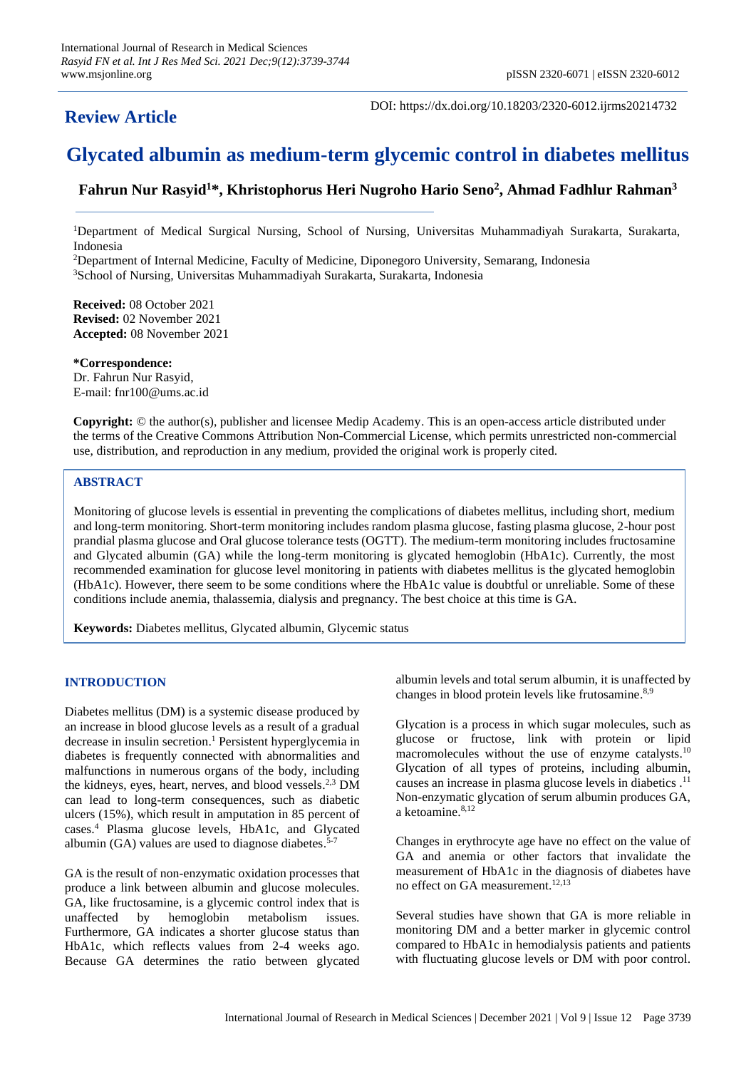## **Review Article**

DOI: https://dx.doi.org/10.18203/2320-6012.ijrms20214732

# **Glycated albumin as medium-term glycemic control in diabetes mellitus**

### **Fahrun Nur Rasyid<sup>1</sup>\*, Khristophorus Heri Nugroho Hario Seno<sup>2</sup> , Ahmad Fadhlur Rahman<sup>3</sup>**

<sup>1</sup>Department of Medical Surgical Nursing, School of Nursing, Universitas Muhammadiyah Surakarta, Surakarta, Indonesia

<sup>2</sup>Department of Internal Medicine, Faculty of Medicine, Diponegoro University, Semarang, Indonesia <sup>3</sup>School of Nursing, Universitas Muhammadiyah Surakarta, Surakarta, Indonesia

**Received:** 08 October 2021 **Revised:** 02 November 2021 **Accepted:** 08 November 2021

**\*Correspondence:** Dr. Fahrun Nur Rasyid, E-mail: fnr100@ums.ac.id

**Copyright:** © the author(s), publisher and licensee Medip Academy. This is an open-access article distributed under the terms of the Creative Commons Attribution Non-Commercial License, which permits unrestricted non-commercial use, distribution, and reproduction in any medium, provided the original work is properly cited.

#### **ABSTRACT**

Monitoring of glucose levels is essential in preventing the complications of diabetes mellitus, including short, medium and long-term monitoring. Short-term monitoring includes random plasma glucose, fasting plasma glucose, 2-hour post prandial plasma glucose and Oral glucose tolerance tests (OGTT). The medium-term monitoring includes fructosamine and Glycated albumin (GA) while the long-term monitoring is glycated hemoglobin (HbA1c). Currently, the most recommended examination for glucose level monitoring in patients with diabetes mellitus is the glycated hemoglobin (HbA1c). However, there seem to be some conditions where the HbA1c value is doubtful or unreliable. Some of these conditions include anemia, thalassemia, dialysis and pregnancy. The best choice at this time is GA.

**Keywords:** Diabetes mellitus, Glycated albumin, Glycemic status

#### **INTRODUCTION**

Diabetes mellitus (DM) is a systemic disease produced by an increase in blood glucose levels as a result of a gradual decrease in insulin secretion. <sup>1</sup> Persistent hyperglycemia in diabetes is frequently connected with abnormalities and malfunctions in numerous organs of the body, including the kidneys, eyes, heart, nerves, and blood vessels.<sup>2,3</sup> DM can lead to long-term consequences, such as diabetic ulcers (15%), which result in amputation in 85 percent of cases. <sup>4</sup> Plasma glucose levels, HbA1c, and Glycated albumin (GA) values are used to diagnose diabetes. 5-7

GA is the result of non-enzymatic oxidation processes that produce a link between albumin and glucose molecules. GA, like fructosamine, is a glycemic control index that is unaffected by hemoglobin metabolism issues. Furthermore, GA indicates a shorter glucose status than HbA1c, which reflects values from 2-4 weeks ago. Because GA determines the ratio between glycated

albumin levels and total serum albumin, it is unaffected by changes in blood protein levels like frutosamine.<sup>8,9</sup>

Glycation is a process in which sugar molecules, such as glucose or fructose, link with protein or lipid macromolecules without the use of enzyme catalysts.<sup>10</sup> Glycation of all types of proteins, including albumin, causes an increase in plasma glucose levels in diabetics . 11 Non-enzymatic glycation of serum albumin produces GA, a ketoamine. 8,12

Changes in erythrocyte age have no effect on the value of GA and anemia or other factors that invalidate the measurement of HbA1c in the diagnosis of diabetes have no effect on GA measurement. 12,13

Several studies have shown that GA is more reliable in monitoring DM and a better marker in glycemic control compared to HbA1c in hemodialysis patients and patients with fluctuating glucose levels or DM with poor control.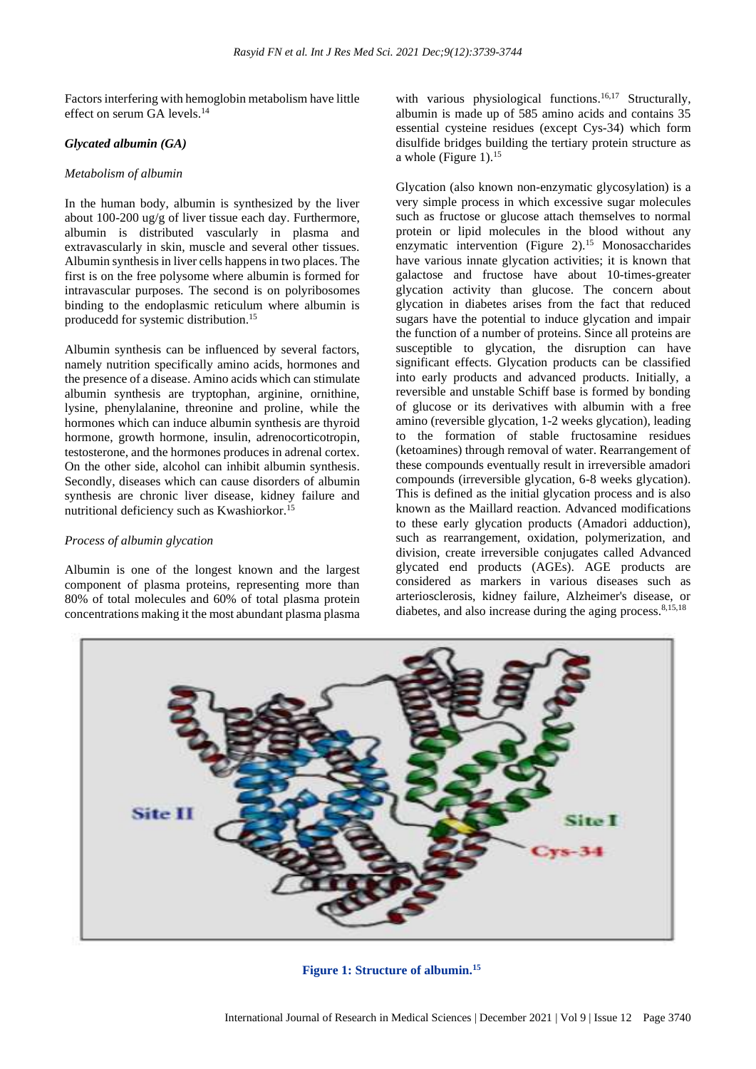Factors interfering with hemoglobin metabolism have little effect on serum GA levels. 14

#### *Glycated albumin (GA)*

#### *Metabolism of albumin*

In the human body, albumin is synthesized by the liver about 100-200 ug/g of liver tissue each day. Furthermore, albumin is distributed vascularly in plasma and extravascularly in skin, muscle and several other tissues. Albumin synthesis in liver cells happens in two places. The first is on the free polysome where albumin is formed for intravascular purposes. The second is on polyribosomes binding to the endoplasmic reticulum where albumin is producedd for systemic distribution. 15

Albumin synthesis can be influenced by several factors, namely nutrition specifically amino acids, hormones and the presence of a disease. Amino acids which can stimulate albumin synthesis are tryptophan, arginine, ornithine, lysine, phenylalanine, threonine and proline, while the hormones which can induce albumin synthesis are thyroid hormone, growth hormone, insulin, adrenocorticotropin, testosterone, and the hormones produces in adrenal cortex. On the other side, alcohol can inhibit albumin synthesis. Secondly, diseases which can cause disorders of albumin synthesis are chronic liver disease, kidney failure and nutritional deficiency such as Kwashiorkor. 15

#### *Process of albumin glycation*

Albumin is one of the longest known and the largest component of plasma proteins, representing more than 80% of total molecules and 60% of total plasma protein concentrations making it the most abundant plasma plasma

with various physiological functions.<sup>16,17</sup> Structurally, albumin is made up of 585 amino acids and contains 35 essential cysteine residues (except Cys-34) which form disulfide bridges building the tertiary protein structure as a whole (Figure 1). $^{15}$ 

Glycation (also known non-enzymatic glycosylation) is a very simple process in which excessive sugar molecules such as fructose or glucose attach themselves to normal protein or lipid molecules in the blood without any enzymatic intervention (Figure 2).<sup>15</sup> Monosaccharides have various innate glycation activities; it is known that galactose and fructose have about 10-times-greater glycation activity than glucose. The concern about glycation in diabetes arises from the fact that reduced sugars have the potential to induce glycation and impair the function of a number of proteins. Since all proteins are susceptible to glycation, the disruption can have significant effects. Glycation products can be classified into early products and advanced products. Initially, a reversible and unstable Schiff base is formed by bonding of glucose or its derivatives with albumin with a free amino (reversible glycation, 1-2 weeks glycation), leading to the formation of stable fructosamine residues (ketoamines) through removal of water. Rearrangement of these compounds eventually result in irreversible amadori compounds (irreversible glycation, 6-8 weeks glycation). This is defined as the initial glycation process and is also known as the Maillard reaction. Advanced modifications to these early glycation products (Amadori adduction), such as rearrangement, oxidation, polymerization, and division, create irreversible conjugates called Advanced glycated end products (AGEs). AGE products are considered as markers in various diseases such as arteriosclerosis, kidney failure, Alzheimer's disease, or diabetes, and also increase during the aging process. 8,15,18



**Figure 1: Structure of albumin.15**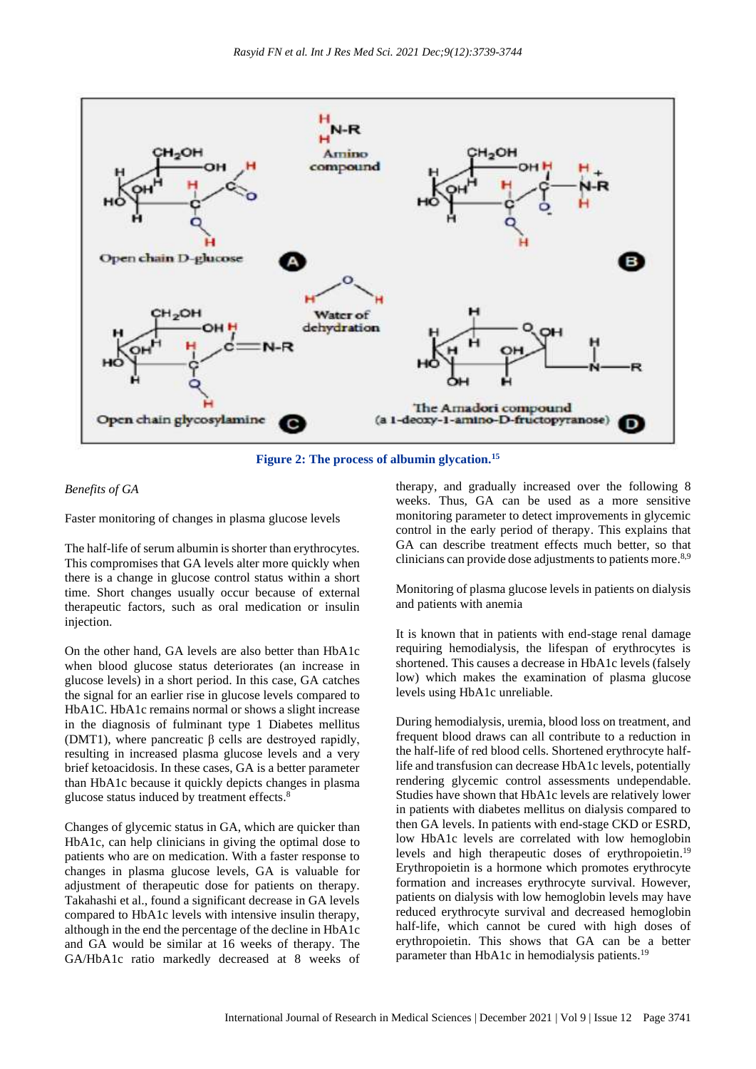

**Figure 2: The process of albumin glycation.<sup>15</sup>**

#### *Benefits of GA*

Faster monitoring of changes in plasma glucose levels

The half-life of serum albumin is shorter than erythrocytes. This compromises that GA levels alter more quickly when there is a change in glucose control status within a short time. Short changes usually occur because of external therapeutic factors, such as oral medication or insulin injection.

On the other hand, GA levels are also better than HbA1c when blood glucose status deteriorates (an increase in glucose levels) in a short period. In this case, GA catches the signal for an earlier rise in glucose levels compared to HbA1C. HbA1c remains normal or shows a slight increase in the diagnosis of fulminant type 1 Diabetes mellitus (DMT1), where pancreatic  $β$  cells are destroyed rapidly, resulting in increased plasma glucose levels and a very brief ketoacidosis. In these cases, GA is a better parameter than HbA1c because it quickly depicts changes in plasma glucose status induced by treatment effects. 8

Changes of glycemic status in GA, which are quicker than HbA1c, can help clinicians in giving the optimal dose to patients who are on medication. With a faster response to changes in plasma glucose levels, GA is valuable for adjustment of therapeutic dose for patients on therapy. Takahashi et al., found a significant decrease in GA levels compared to HbA1c levels with intensive insulin therapy, although in the end the percentage of the decline in HbA1c and GA would be similar at 16 weeks of therapy. The GA/HbA1c ratio markedly decreased at 8 weeks of therapy, and gradually increased over the following 8 weeks. Thus, GA can be used as a more sensitive monitoring parameter to detect improvements in glycemic control in the early period of therapy. This explains that GA can describe treatment effects much better, so that clinicians can provide dose adjustments to patients more.<sup>8,9</sup>

Monitoring of plasma glucose levels in patients on dialysis and patients with anemia

It is known that in patients with end-stage renal damage requiring hemodialysis, the lifespan of erythrocytes is shortened. This causes a decrease in HbA1c levels (falsely low) which makes the examination of plasma glucose levels using HbA1c unreliable.

During hemodialysis, uremia, blood loss on treatment, and frequent blood draws can all contribute to a reduction in the half-life of red blood cells. Shortened erythrocyte halflife and transfusion can decrease HbA1c levels, potentially rendering glycemic control assessments undependable. Studies have shown that HbA1c levels are relatively lower in patients with diabetes mellitus on dialysis compared to then GA levels. In patients with end-stage CKD or ESRD, low HbA1c levels are correlated with low hemoglobin levels and high therapeutic doses of erythropoietin.<sup>19</sup> Erythropoietin is a hormone which promotes erythrocyte formation and increases erythrocyte survival. However, patients on dialysis with low hemoglobin levels may have reduced erythrocyte survival and decreased hemoglobin half-life, which cannot be cured with high doses of erythropoietin. This shows that GA can be a better parameter than HbA1c in hemodialysis patients.<sup>19</sup>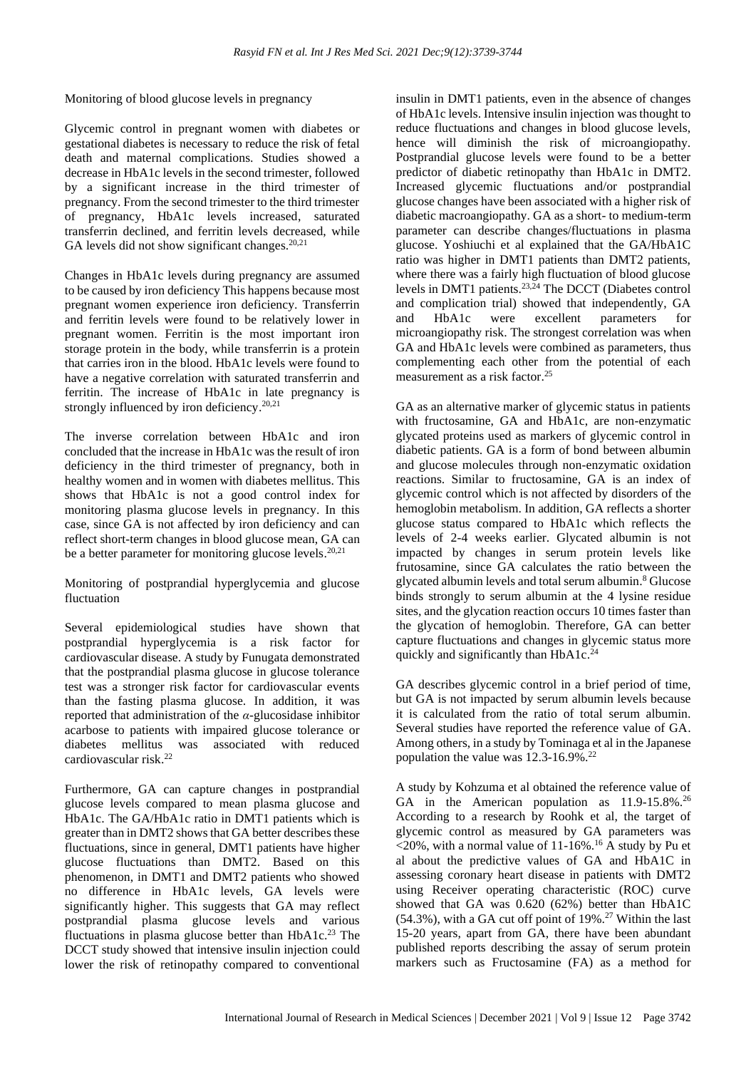Monitoring of blood glucose levels in pregnancy

Glycemic control in pregnant women with diabetes or gestational diabetes is necessary to reduce the risk of fetal death and maternal complications. Studies showed a decrease in HbA1c levels in the second trimester, followed by a significant increase in the third trimester of pregnancy. From the second trimester to the third trimester of pregnancy, HbA1c levels increased, saturated transferrin declined, and ferritin levels decreased, while GA levels did not show significant changes.<sup>20,21</sup>

Changes in HbA1c levels during pregnancy are assumed to be caused by iron deficiency This happens because most pregnant women experience iron deficiency. Transferrin and ferritin levels were found to be relatively lower in pregnant women. Ferritin is the most important iron storage protein in the body, while transferrin is a protein that carries iron in the blood. HbA1c levels were found to have a negative correlation with saturated transferrin and ferritin. The increase of HbA1c in late pregnancy is strongly influenced by iron deficiency.<sup>20,21</sup>

The inverse correlation between HbA1c and iron concluded that the increase in HbA1c was the result of iron deficiency in the third trimester of pregnancy, both in healthy women and in women with diabetes mellitus. This shows that HbA1c is not a good control index for monitoring plasma glucose levels in pregnancy. In this case, since GA is not affected by iron deficiency and can reflect short-term changes in blood glucose mean, GA can be a better parameter for monitoring glucose levels.<sup>20,21</sup>

Monitoring of postprandial hyperglycemia and glucose fluctuation

Several epidemiological studies have shown that postprandial hyperglycemia is a risk factor for cardiovascular disease. A study by Funugata demonstrated that the postprandial plasma glucose in glucose tolerance test was a stronger risk factor for cardiovascular events than the fasting plasma glucose. In addition, it was reported that administration of the *α*-glucosidase inhibitor acarbose to patients with impaired glucose tolerance or diabetes mellitus was associated with reduced cardiovascular risk. 22

Furthermore, GA can capture changes in postprandial glucose levels compared to mean plasma glucose and HbA1c. The GA/HbA1c ratio in DMT1 patients which is greater than in DMT2 shows that GA better describes these fluctuations, since in general, DMT1 patients have higher glucose fluctuations than DMT2. Based on this phenomenon, in DMT1 and DMT2 patients who showed no difference in HbA1c levels, GA levels were significantly higher. This suggests that GA may reflect postprandial plasma glucose levels and various fluctuations in plasma glucose better than HbA1c. <sup>23</sup> The DCCT study showed that intensive insulin injection could lower the risk of retinopathy compared to conventional insulin in DMT1 patients, even in the absence of changes of HbA1c levels. Intensive insulin injection was thought to reduce fluctuations and changes in blood glucose levels, hence will diminish the risk of microangiopathy. Postprandial glucose levels were found to be a better predictor of diabetic retinopathy than HbA1c in DMT2. Increased glycemic fluctuations and/or postprandial glucose changes have been associated with a higher risk of diabetic macroangiopathy. GA as a short- to medium-term parameter can describe changes/fluctuations in plasma glucose. Yoshiuchi et al explained that the GA/HbA1C ratio was higher in DMT1 patients than DMT2 patients, where there was a fairly high fluctuation of blood glucose levels in DMT1 patients. 23,24 The DCCT (Diabetes control and complication trial) showed that independently, GA and HbA1c were excellent parameters for microangiopathy risk. The strongest correlation was when GA and HbA1c levels were combined as parameters, thus complementing each other from the potential of each measurement as a risk factor. 25

GA as an alternative marker of glycemic status in patients with fructosamine, GA and HbA1c, are non-enzymatic glycated proteins used as markers of glycemic control in diabetic patients. GA is a form of bond between albumin and glucose molecules through non-enzymatic oxidation reactions. Similar to fructosamine, GA is an index of glycemic control which is not affected by disorders of the hemoglobin metabolism. In addition, GA reflects a shorter glucose status compared to HbA1c which reflects the levels of 2-4 weeks earlier. Glycated albumin is not impacted by changes in serum protein levels like frutosamine, since GA calculates the ratio between the glycated albumin levels and total serum albumin. <sup>8</sup> Glucose binds strongly to serum albumin at the 4 lysine residue sites, and the glycation reaction occurs 10 times faster than the glycation of hemoglobin. Therefore, GA can better capture fluctuations and changes in glycemic status more quickly and significantly than HbA1c. 24

GA describes glycemic control in a brief period of time, but GA is not impacted by serum albumin levels because it is calculated from the ratio of total serum albumin. Several studies have reported the reference value of GA. Among others, in a study by Tominaga et al in the Japanese population the value was 12.3-16.9%. 22

A study by Kohzuma et al obtained the reference value of GA in the American population as 11.9-15.8%.<sup>26</sup> According to a research by Roohk et al, the target of glycemic control as measured by GA parameters was  $\langle 20\%$ , with a normal value of 11-16%.<sup>16</sup> A study by Pu et al about the predictive values of GA and HbA1C in assessing coronary heart disease in patients with DMT2 using Receiver operating characteristic (ROC) curve showed that GA was 0.620 (62%) better than HbA1C (54.3%), with a GA cut off point of 19%. <sup>27</sup> Within the last 15-20 years, apart from GA, there have been abundant published reports describing the assay of serum protein markers such as Fructosamine (FA) as a method for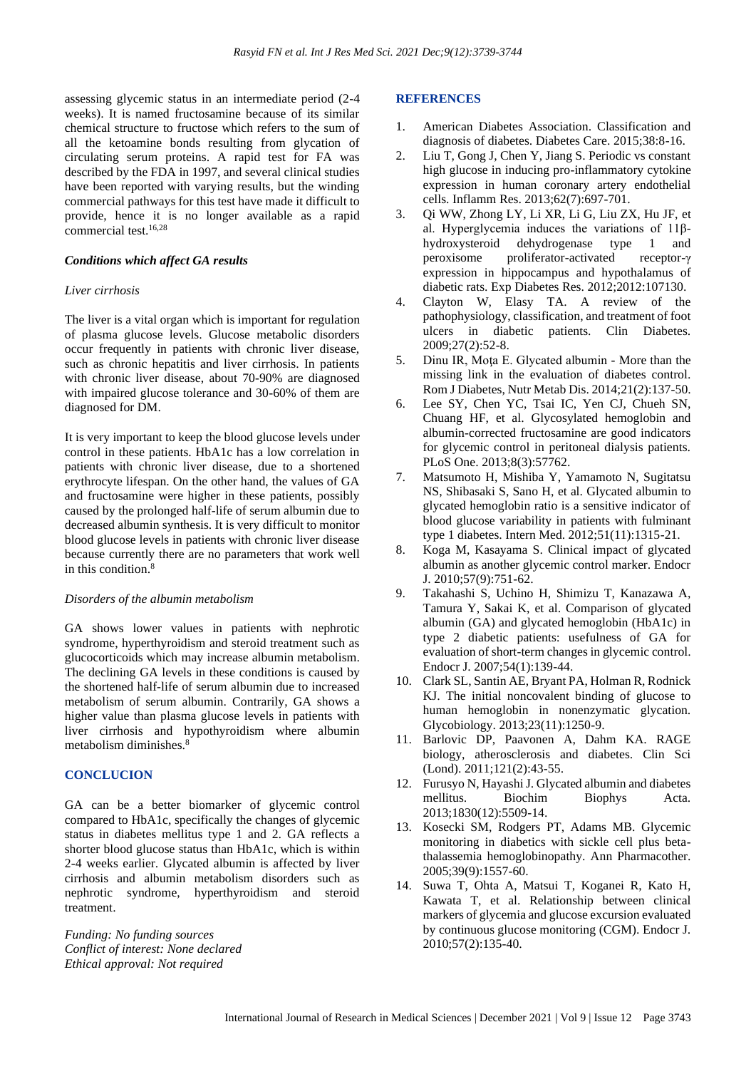assessing glycemic status in an intermediate period (2-4 weeks). It is named fructosamine because of its similar chemical structure to fructose which refers to the sum of all the ketoamine bonds resulting from glycation of circulating serum proteins. A rapid test for FA was described by the FDA in 1997, and several clinical studies have been reported with varying results, but the winding commercial pathways for this test have made it difficult to provide, hence it is no longer available as a rapid commercial test. 16,28

#### *Conditions which affect GA results*

#### *Liver cirrhosis*

The liver is a vital organ which is important for regulation of plasma glucose levels. Glucose metabolic disorders occur frequently in patients with chronic liver disease, such as chronic hepatitis and liver cirrhosis. In patients with chronic liver disease, about 70-90% are diagnosed with impaired glucose tolerance and 30-60% of them are diagnosed for DM.

It is very important to keep the blood glucose levels under control in these patients. HbA1c has a low correlation in patients with chronic liver disease, due to a shortened erythrocyte lifespan. On the other hand, the values of GA and fructosamine were higher in these patients, possibly caused by the prolonged half-life of serum albumin due to decreased albumin synthesis. It is very difficult to monitor blood glucose levels in patients with chronic liver disease because currently there are no parameters that work well in this condition. 8

#### *Disorders of the albumin metabolism*

GA shows lower values in patients with nephrotic syndrome, hyperthyroidism and steroid treatment such as glucocorticoids which may increase albumin metabolism. The declining GA levels in these conditions is caused by the shortened half-life of serum albumin due to increased metabolism of serum albumin. Contrarily, GA shows a higher value than plasma glucose levels in patients with liver cirrhosis and hypothyroidism where albumin metabolism diminishes.<sup>8</sup>

#### **CONCLUCION**

GA can be a better biomarker of glycemic control compared to HbA1c, specifically the changes of glycemic status in diabetes mellitus type 1 and 2. GA reflects a shorter blood glucose status than HbA1c, which is within 2-4 weeks earlier. Glycated albumin is affected by liver cirrhosis and albumin metabolism disorders such as nephrotic syndrome, hyperthyroidism and steroid treatment.

*Funding: No funding sources Conflict of interest: None declared Ethical approval: Not required*

#### **REFERENCES**

- 1. American Diabetes Association. Classification and diagnosis of diabetes. Diabetes Care. 2015;38:8-16.
- 2. Liu T, Gong J, Chen Y, Jiang S. Periodic vs constant high glucose in inducing pro-inflammatory cytokine expression in human coronary artery endothelial cells. Inflamm Res. 2013;62(7):697-701.
- 3. Qi WW, Zhong LY, Li XR, Li G, Liu ZX, Hu JF, et al. Hyperglycemia induces the variations of 11βhydroxysteroid dehydrogenase type 1 and peroxisome proliferator-activated receptor-γ expression in hippocampus and hypothalamus of diabetic rats. Exp Diabetes Res. 2012;2012:107130.
- 4. Clayton W, Elasy TA. A review of the pathophysiology, classification, and treatment of foot ulcers in diabetic patients. Clin Diabetes. 2009;27(2):52-8.
- 5. Dinu IR, Moţa E. Glycated albumin More than the missing link in the evaluation of diabetes control. Rom J Diabetes, Nutr Metab Dis. 2014;21(2):137-50.
- 6. Lee SY, Chen YC, Tsai IC, Yen CJ, Chueh SN, Chuang HF, et al. Glycosylated hemoglobin and albumin-corrected fructosamine are good indicators for glycemic control in peritoneal dialysis patients. PLoS One. 2013;8(3):57762.
- 7. Matsumoto H, Mishiba Y, Yamamoto N, Sugitatsu NS, Shibasaki S, Sano H, et al. Glycated albumin to glycated hemoglobin ratio is a sensitive indicator of blood glucose variability in patients with fulminant type 1 diabetes. Intern Med. 2012;51(11):1315-21.
- 8. Koga M, Kasayama S. Clinical impact of glycated albumin as another glycemic control marker. Endocr J. 2010;57(9):751-62.
- 9. Takahashi S, Uchino H, Shimizu T, Kanazawa A, Tamura Y, Sakai K, et al. Comparison of glycated albumin (GA) and glycated hemoglobin (HbA1c) in type 2 diabetic patients: usefulness of GA for evaluation of short-term changes in glycemic control. Endocr J. 2007;54(1):139-44.
- 10. Clark SL, Santin AE, Bryant PA, Holman R, Rodnick KJ. The initial noncovalent binding of glucose to human hemoglobin in nonenzymatic glycation. Glycobiology. 2013;23(11):1250-9.
- 11. Barlovic DP, Paavonen A, Dahm KA. RAGE biology, atherosclerosis and diabetes. Clin Sci (Lond). 2011;121(2):43-55.
- 12. Furusyo N, Hayashi J. Glycated albumin and diabetes mellitus. Biochim Biophys Acta. 2013;1830(12):5509-14.
- 13. Kosecki SM, Rodgers PT, Adams MB. Glycemic monitoring in diabetics with sickle cell plus betathalassemia hemoglobinopathy. Ann Pharmacother. 2005;39(9):1557-60.
- 14. Suwa T, Ohta A, Matsui T, Koganei R, Kato H, Kawata T, et al. Relationship between clinical markers of glycemia and glucose excursion evaluated by continuous glucose monitoring (CGM). Endocr J. 2010;57(2):135-40.